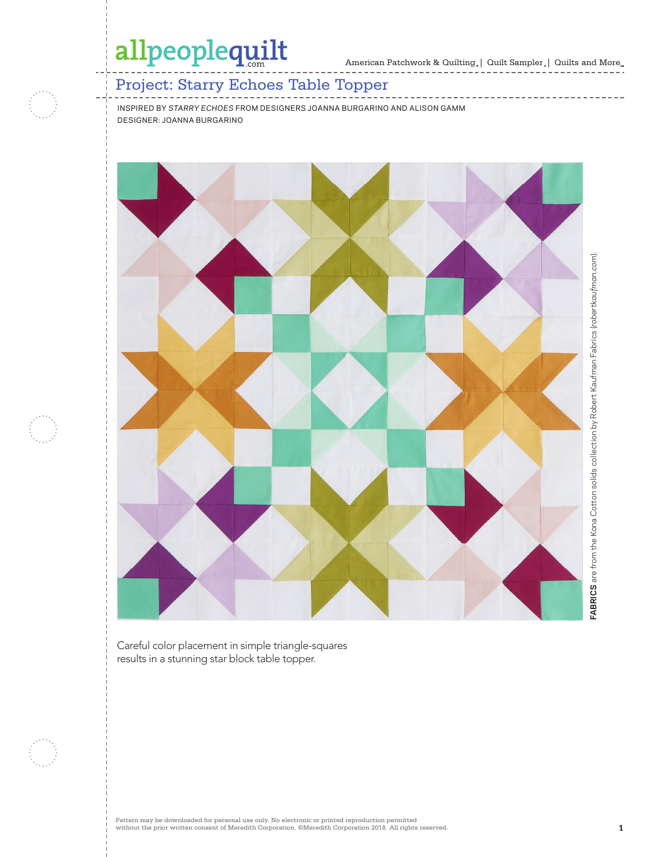American Patchwork & Quilting, | Quilt Sampler, | Quilts and More...

------------------------------

### Project: Starry Echoes Table Topper

INSPIRED BY *STARRY ECHOES* FROM DESIGNERS JOANNA BURGARINO AND ALISON GAMM DESIGNER: JOANNA BURGARINO



Careful color placement in simple triangle-squares results in a stunning star block table topper.

Pattern may be downloaded for personal use only. No electronic or printed reproduction permitted without the prior written consent of Meredith Corporation. ©Meredith Corporation 2018. All rights reserved. **1**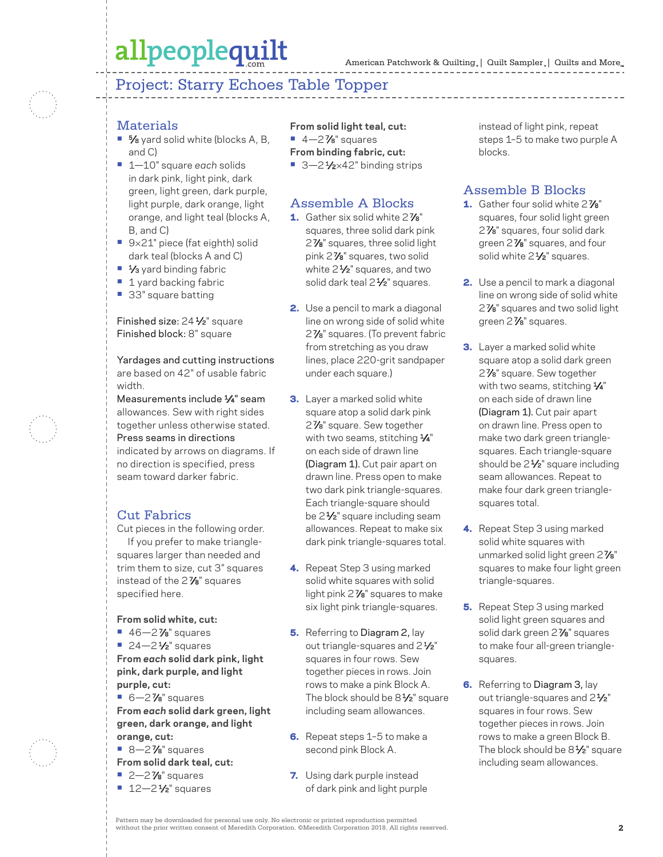### Project: Starry Echoes Table Topper

#### **Materials**

- **•** 5⁄8 yard solid white (blocks A, B, and C)
- **•** 1—10" square *each* solids in dark pink, light pink, dark green, light green, dark purple, light purple, dark orange, light orange, and light teal (blocks A, B, and C)
- **•** 9×21" piece (fat eighth) solid dark teal (blocks A and C)
- **•** 1⁄3 yard binding fabric
- **•** 1 yard backing fabric
- **•** 33" square batting

Finished size: 24<sup>1/2"</sup> square Finished block: 8" square

Yardages and cutting instructions are based on 42" of usable fabric width.

Measurements include 1⁄4" seam allowances. Sew with right sides together unless otherwise stated. Press seams in directions indicated by arrows on diagrams. If no direction is specified, press

seam toward darker fabric.

### Cut Fabrics

Cut pieces in the following order. If you prefer to make trianglesquares larger than needed and trim them to size, cut 3" squares instead of the 2 7⁄8" squares specified here.

**From solid white, cut:**

- **•** 46—2 7⁄8" squares
- **•** 24-2<sup>1</sup>/<sub>2</sub>" squares
- **From** *each* **solid dark pink, light pink, dark purple, and light purple, cut:**
- **•** 6—2 7⁄8" squares **From** *each* **solid dark green, light green, dark orange, and light orange, cut:**
- **•** 8—2 7⁄8" squares
- **From solid dark teal, cut:**
- **•** 2—2 7⁄8" squares
- **•** 12-2<sup>1</sup>/<sub>2</sub>" squares

**From solid light teal, cut: •** 4—2 7⁄8" squares

#### **From binding fabric, cut:**

■ 3–2<sup>1</sup>⁄<sub>2×42</sub>" binding strips

#### Assemble A Blocks

- 1. Gather six solid white 2<sup>7/8"</sup> squares, three solid dark pink 2 7⁄8" squares, three solid light pink 2 7⁄8" squares, two solid white  $2\frac{1}{2}$ " squares, and two solid dark teal 2<sup>1/2"</sup> squares.
- 2. Use a pencil to mark a diagonal line on wrong side of solid white 2 7⁄8" squares. (To prevent fabric from stretching as you draw lines, place 220-grit sandpaper under each square.)
- **3.** Layer a marked solid white square atop a solid dark pink 2 7⁄8" square. Sew together with two seams, stitching 1/4" on each side of drawn line (Diagram 1). Cut pair apart on drawn line. Press open to make two dark pink triangle-squares. Each triangle-square should be 2<sup>1/2</sup> square including seam allowances. Repeat to make six dark pink triangle-squares total.
- 4. Repeat Step 3 using marked solid white squares with solid light pink 2<sup>7</sup>/<sub>8</sub>" squares to make six light pink triangle-squares.
- **5.** Referring to Diagram 2, lay out triangle-squares and 2<sup>1/2</sup> squares in four rows. Sew together pieces in rows. Join rows to make a pink Block A. The block should be 8<sup>1/2</sup> square including seam allowances.
- 6. Repeat steps 1-5 to make a second pink Block A.
- 7. Using dark purple instead of dark pink and light purple

instead of light pink, repeat steps 1–5 to make two purple A blocks.

### Assemble B Blocks

- 1. Gather four solid white 2<sup>7/8"</sup> squares, four solid light green 2 7⁄8" squares, four solid dark green 2 7⁄8" squares, and four solid white 2<sup>1/2</sup>" squares.
- 2. Use a pencil to mark a diagonal line on wrong side of solid white 2 7⁄8" squares and two solid light green 2<sup>7</sup>/<sub>8</sub>" squares.
- **3.** Layer a marked solid white square atop a solid dark green 2 7⁄8" square. Sew together with two seams, stitching  $\frac{1}{4}$ " on each side of drawn line (Diagram 1). Cut pair apart on drawn line. Press open to make two dark green trianglesquares. Each triangle-square should be 2<sup>1/2"</sup> square including seam allowances. Repeat to make four dark green trianglesquares total.
- 4. Repeat Step 3 using marked solid white squares with unmarked solid light green 2<sup>7/8"</sup> squares to make four light green triangle-squares.
- **5.** Repeat Step 3 using marked solid light green squares and solid dark green 2<sup>7</sup>/8" squares to make four all-green trianglesquares.
- **6.** Referring to Diagram 3, lay out triangle-squares and 2<sup>1/2</sup>" squares in four rows. Sew together pieces in rows. Join rows to make a green Block B. The block should be  $8\frac{1}{2}$ " square including seam allowances.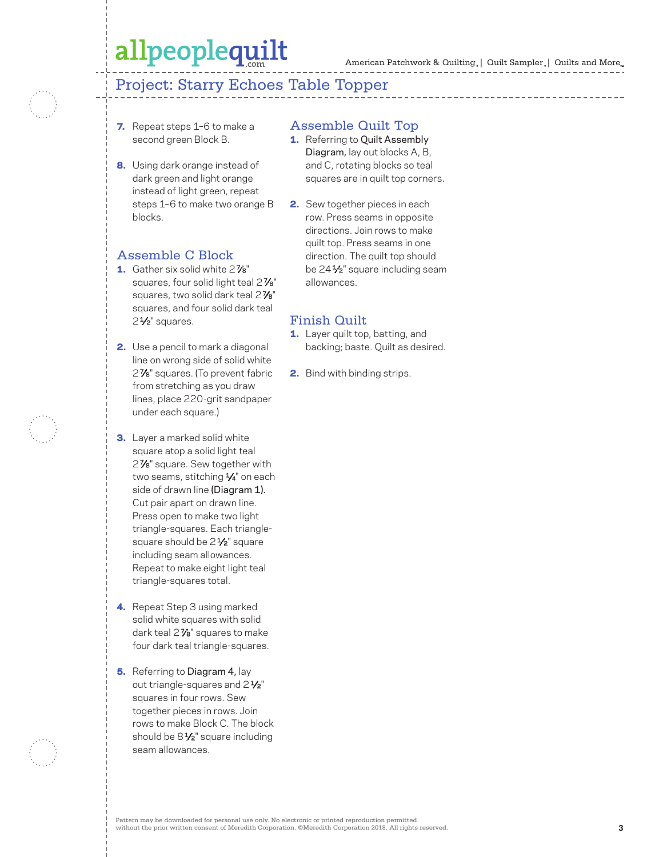### Project: Starry Echoes Table Topper

- 7. Repeat steps 1-6 to make a second green Block B.
- 8. Using dark orange instead of dark green and light orange instead of light green, repeat steps 1–6 to make two orange B blocks.

#### Assemble C Block

- 1. Gather six solid white 2<sup>7/8"</sup> squares, four solid light teal 2 $\frac{7}{8}$ " squares, two solid dark teal 2<sup>7/8</sup> squares, and four solid dark teal 2<sup>1</sup>/<sub>2</sub>" squares.
- 2. Use a pencil to mark a diagonal line on wrong side of solid white 2 7⁄8" squares. (To prevent fabric from stretching as you draw lines, place 220-grit sandpaper under each square.)
- **3.** Layer a marked solid white square atop a solid light teal 2<sup>7</sup>/8" square. Sew together with two seams, stitching 1/4" on each side of drawn line (Diagram 1). Cut pair apart on drawn line. Press open to make two light triangle-squares. Each trianglesquare should be 2<sup>1/2</sup>" square including seam allowances. Repeat to make eight light teal triangle-squares total.
- 4. Repeat Step 3 using marked solid white squares with solid dark teal 2 7⁄8" squares to make four dark teal triangle-squares.
- **5.** Referring to Diagram 4, lay out triangle-squares and  $2\frac{1}{2}$ " squares in four rows. Sew together pieces in rows. Join rows to make Block C. The block should be  $8\frac{1}{2}$ " square including seam allowances.

#### Assemble Quilt Top

- 1. Referring to Quilt Assembly Diagram, lay out blocks A, B, and C, rotating blocks so teal squares are in quilt top corners.
- 2. Sew together pieces in each row. Press seams in opposite directions. Join rows to make quilt top. Press seams in one direction. The quilt top should be 24<sup>1/2</sup> square including seam allowances.

#### Finish Quilt

- 1. Layer quilt top, batting, and backing; baste. Quilt as desired.
- 2. Bind with binding strips.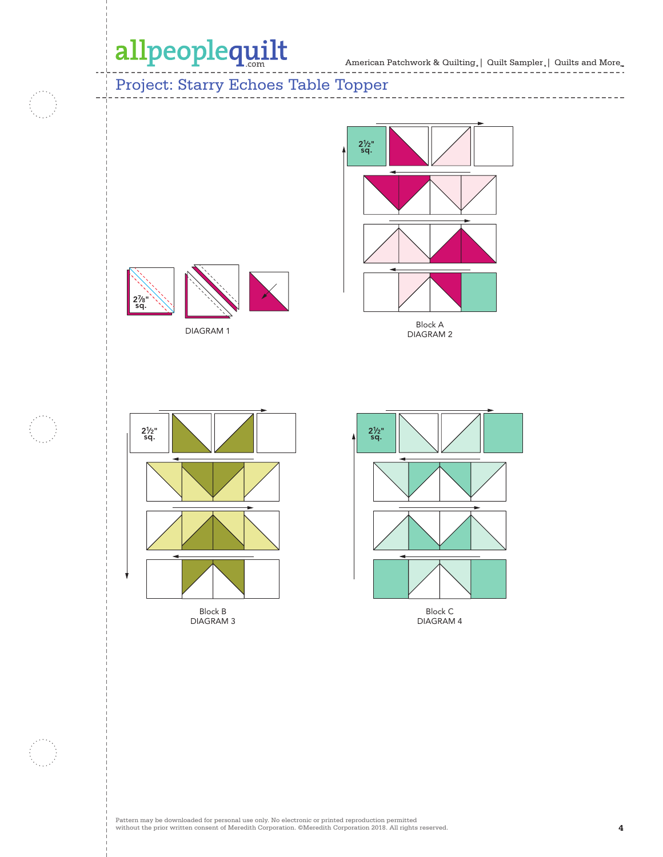f i

American Patchwork & Quilting  $_{\circ} \, | \,$  Quilt Sampler  $_{\circ} \, | \,$  Quilts and More  $_{\circ \circ}$ ---------------------

------------------------------

### Project: Starry Echoes Table Topper



DIAGRAM 2



DIAGRAM 1



Block B DIAGRAM 3



DIAGRAM 4